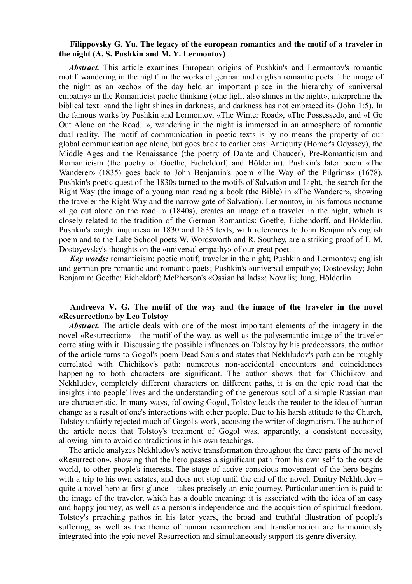## **Filippovsky G. Yu. The legacy of the european romantics and the motif of a traveler in the night (A. S. Pushkin and M. Y. Lermontov)**

*Abstract.* This article examines European origins of Pushkin's and Lermontov's romantic motif 'wandering in the night' in the works of german and english romantic poets. The image of the night as an «echo» of the day held an important place in the hierarchy of «universal empathy» in the Romanticist poetic thinking («the light also shines in the night», interpreting the biblical text: «and the light shines in darkness, and darkness has not embraced it» (John 1:5). In the famous works by Pushkin and Lermontov, «The Winter Road», «The Possessed», and «I Go Out Alone on the Road...», wandering in the night is immersed in an atmosphere of romantic dual reality. The motif of communication in poetic texts is by no means the property of our global communication age alone, but goes back to earlier eras: Antiquity (Homer's Odyssey), the Middle Ages and the Renaissance (the poetry of Dante and Chaucer), Pre-Romanticism and Romanticism (the poetry of Goethe, Eicheldorf, and Hölderlin). Pushkin's later poem «The Wanderer» (1835) goes back to John Benjamin's poem «The Way of the Pilgrims» (1678). Pushkin's poetic quest of the 1830s turned to the motifs of Salvation and Light, the search for the Right Way (the image of a young man reading a book (the Bible) in «The Wanderer», showing the traveler the Right Way and the narrow gate of Salvation). Lermontov, in his famous nocturne «I go out alone on the road...» (1840s), creates an image of a traveler in the night, which is closely related to the tradition of the German Romantics: Goethe, Eichendorff, and Hölderlin. Pushkin's «night inquiries» in 1830 and 1835 texts, with references to John Benjamin's english poem and to the Lake School poets W. Wordsworth and R. Southey, are a striking proof of F. M. Dostoyevsky's thoughts on the «universal empathy» of our great poet.

*Key words:* romanticism; poetic motif; traveler in the night; Pushkin and Lermontov; english and german pre-romantic and romantic poets; Pushkin's «universal empathy»; Dostoevsky; John Benjamin; Goethe; Eicheldorf; McPherson's «Ossian ballads»; Novalis; Jung; Hölderlin

# **Andreeva V. G. The motif of the way and the image of the traveler in the novel «Resurrection» by Leo Tolstoy**

*Abstract.* The article deals with one of the most important elements of the imagery in the novel «Resurrection» – the motif of the way, as well as the polysemantic image of the traveler correlating with it. Discussing the possible influences on Tolstoy by his predecessors, the author of the article turns to Gogol's poem Dead Souls and states that Nekhludov's path can be roughly correlated with Chichikov's path: numerous non-accidental encounters and coincidences happening to both characters are significant. The author shows that for Chichikov and Nekhludov, completely different characters on different paths, it is on the epic road that the insights into people' lives and the understanding of the generous soul of a simple Russian man are characteristic. In many ways, following Gogol, Tolstoy leads the reader to the idea of human change as a result of one's interactions with other people. Due to his harsh attitude to the Church, Tolstoy unfairly rejected much of Gogol's work, accusing the writer of dogmatism. The author of the article notes that Tolstoy's treatment of Gogol was, apparently, a consistent necessity, allowing him to avoid contradictions in his own teachings.

The article analyzes Nekhludov's active transformation throughout the three parts of the novel «Resurrection», showing that the hero passes a significant path from his own self to the outside world, to other people's interests. The stage of active conscious movement of the hero begins with a trip to his own estates, and does not stop until the end of the novel. Dmitry Nekhludov – quite a novel hero at first glance – takes precisely an epic journey. Particular attention is paid to the image of the traveler, which has a double meaning: it is associated with the idea of an easy and happy journey, as well as a person's independence and the acquisition of spiritual freedom. Tolstoy's preaching pathos in his later years, the broad and truthful illustration of people's suffering, as well as the theme of human resurrection and transformation are harmoniously integrated into the epic novel Resurrection and simultaneously support its genre diversity.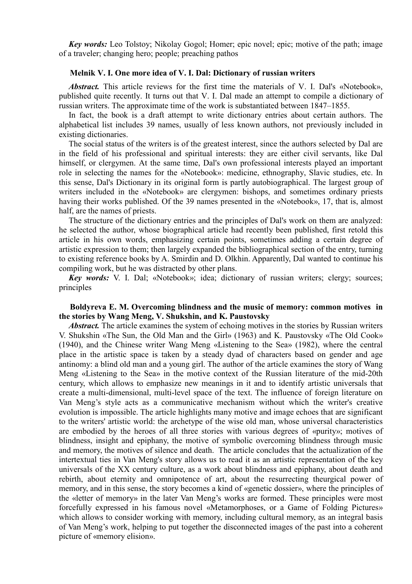*Key words:* Leo Tolstoy; Nikolay Gogol; Homer; epic novel; epic; motive of the path; image of a traveler; changing hero; people; preaching pathos

## **Melnik V. I. One more idea of V. I. Dal: Dictionary of russian writers**

Abstract. This article reviews for the first time the materials of V. I. Dal's «Notebook», published quite recently. It turns out that V. I. Dal made an attempt to compile a dictionary of russian writers. The approximate time of the work is substantiated between 1847–1855.

In fact, the book is a draft attempt to write dictionary entries about certain authors. The alphabetical list includes 39 names, usually of less known authors, not previously included in existing dictionaries.

The social status of the writers is of the greatest interest, since the authors selected by Dal are in the field of his professional and spiritual interests: they are either civil servants, like Dal himself, or clergymen. At the same time, Dal's own professional interests played an important role in selecting the names for the «Notebook»: medicine, ethnography, Slavic studies, etc. In this sense, Dal's Dictionary in its original form is partly autobiographical. The largest group of writers included in the «Notebook» are clergymen: bishops, and sometimes ordinary priests having their works published. Of the 39 names presented in the «Notebook», 17, that is, almost half, are the names of priests.

The structure of the dictionary entries and the principles of Dal's work on them are analyzed: he selected the author, whose biographical article had recently been published, first retold this article in his own words, emphasizing certain points, sometimes adding a certain degree of artistic expression to them; then largely expanded the bibliographical section of the entry, turning to existing reference books by A. Smirdin and D. Olkhin. Apparently, Dal wanted to continue his compiling work, but he was distracted by other plans.

*Key words:* V. I. Dal; «Notebook»; idea; dictionary of russian writers; clergy; sources; principles

## **Boldyreva E. M. Overcoming blindness and the music of memory: common motives in the stories by Wang Meng, V. Shukshin, and K. Paustovsky**

*Abstract.* The article examines the system of echoing motives in the stories by Russian writers V. Shukshin «The Sun, the Old Man and the Girl» (1963) and K. Paustovsky «The Old Cook» (1940), and the Chinese writer Wang Meng «Listening to the Sea» (1982), where the central place in the artistic space is taken by a steady dyad of characters based on gender and age antinomy: a blind old man and a young girl. The author of the article examines the story of Wang Meng «Listening to the Sea» in the motive context of the Russian literature of the mid-20th century, which allows to emphasize new meanings in it and to identify artistic universals that create a multi-dimensional, multi-level space of the text. The influence of foreign literature on Van Meng's style acts as a communicative mechanism without which the writer's creative evolution is impossible. The article highlights many motive and image echoes that are significant to the writers' artistic world: the archetype of the wise old man, whose universal characteristics are embodied by the heroes of all three stories with various degrees of «purity»; motives of blindness, insight and epiphany, the motive of symbolic overcoming blindness through music and memory, the motives of silence and death. The article concludes that the actualization of the intertextual ties in Van Meng's story allows us to read it as an artistic representation of the key universals of the XX century culture, as a work about blindness and epiphany, about death and rebirth, about eternity and omnipotence of art, about the resurrecting theurgical power of memory, and in this sense, the story becomes a kind of «genetic dossier», where the principles of the «letter of memory» in the later Van Meng's works are formed. These principles were most forcefully expressed in his famous novel «Metamorphoses, or a Game of Folding Pictures» which allows to consider working with memory, including cultural memory, as an integral basis of Van Meng's work, helping to put together the disconnected images of the past into a coherent picture of «memory elision».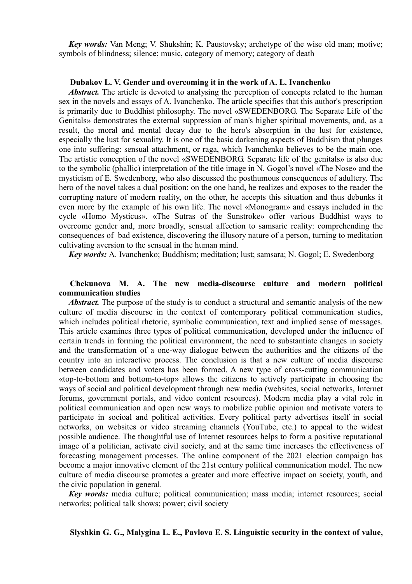*Key words:* Van Meng; V. Shukshin; K. Paustovsky; archetype of the wise old man; motive; symbols of blindness; silence; music, category of memory; category of death

## **Dubakov L. V. Gender and overcoming it in the work of A. L. Ivanchenko**

*Abstract.* The article is devoted to analysing the perception of concepts related to the human sex in the novels and essays of A. Ivanchenko. The article specifies that this author's prescription is primarily due to Buddhist philosophy. The novel «SWEDENBORG. The Separate Life of the Genitals» demonstrates the external suppression of man's higher spiritual movements, and, as a result, the moral and mental decay due to the hero's absorption in the lust for existence, especially the lust for sexuality. It is one of the basic darkening aspects of Buddhism that plunges one into suffering: sensual attachment, or raga, which Ivanchenko believes to be the main one. The artistic conception of the novel «SWEDENBORG. Separate life of the genitals» is also due to the symbolic (phallic) interpretation of the title image in N. Gogol's novel «The Nose» and the mysticism of E. Swedenborg, who also discussed the posthumous consequences of adultery. The hero of the novel takes a dual position: on the one hand, he realizes and exposes to the reader the corrupting nature of modern reality, on the other, he accepts this situation and thus debunks it even more by the example of his own life. The novel «Monogram» and essays included in the cycle «Homo Mysticus». «The Sutras of the Sunstroke» offer various Buddhist ways to overcome gender and, more broadly, sensual affection to samsaric reality: comprehending the consequences of bad existence, discovering the illusory nature of a person, turning to meditation cultivating aversion to the sensual in the human mind.

*Key words:* A. Ivanchenko; Buddhism; meditation; lust; samsara; N. Gogol; E. Swedenborg

## **Chekunova M. A. The new media-discourse culture and modern political communication studies**

*Abstract.* The purpose of the study is to conduct a structural and semantic analysis of the new culture of media discourse in the context of contemporary political communication studies, which includes political rhetoric, symbolic communication, text and implied sense of messages. This article examines three types of political communication, developed under the influence of certain trends in forming the political environment, the need to substantiate changes in society and the transformation of a one-way dialogue between the authorities and the citizens of the country into an interactive process. The conclusion is that a new culture of media discourse between candidates and voters has been formed. A new type of cross-cutting communication «top-to-bottom and bottom-to-top» allows the citizens to actively participate in choosing the ways of social and political development through new media (websites, social networks, Internet forums, government portals, and video content resources). Modern media play a vital role in political communication and open new ways to mobilize public opinion and motivate voters to participate in socioal and political activities. Every political party advertises itself in social networks, on websites or video streaming channels (YouTube, etc.) to appeal to the widest possible audience. The thoughtful use of Internet resources helps to form a positive reputational image of a politician, activate civil society, and at the same time increases the effectiveness of forecasting management processes. The online component of the 2021 election campaign has become a major innovative element of the 21st century political communication model. The new culture of media discourse promotes a greater and more effective impact on society, youth, and the civic population in general.

**Key words:** media culture; political communication; mass media; internet resources; social networks; political talk shows; power; civil society

## **Slyshkin G. G., Malygina L. E., Pavlova E. S. Linguistic security in the context of value,**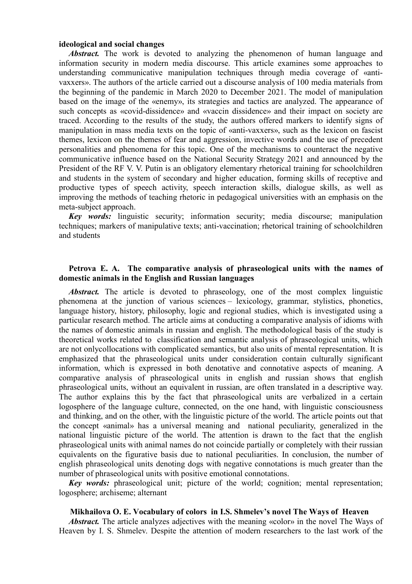## **ideological and social changes**

*Abstract.* The work is devoted to analyzing the phenomenon of human language and information security in modern media discourse. This article examines some approaches to understanding communicative manipulation techniques through media coverage of «antivaxxers». The authors of the article carried out a discourse analysis of 100 media materials from the beginning of the pandemic in March 2020 to December 2021. The model of manipulation based on the image of the «enemy», its strategies and tactics are analyzed. The appearance of such concepts as «covid-dissidence» and «vaccin dissidence» and their impact on society are traced. According to the results of the study, the authors offered markers to identify signs of manipulation in mass media texts on the topic of «anti-vaxxers», such as the lexicon on fascist themes, lexicon on the themes of fear and aggression, invective words and the use of precedent personalities and phenomena for this topic. One of the mechanisms to counteract the negative communicative influence based on the National Security Strategy 2021 and announced by the President of the RF V. V. Putin is an obligatory elementary rhetorical training for schoolchildren and students in the system of secondary and higher education, forming skills of receptive and productive types of speech activity, speech interaction skills, dialogue skills, as well as improving the methods of teaching rhetoric in pedagogical universities with an emphasis on the meta-subject approach.

*Key words:* linguistic security; information security; media discourse; manipulation techniques; markers of manipulative texts; anti-vaccination; rhetorical training of schoolchildren and students

## **Petrova E. A. The comparative analysis of phraseological units with the names of domestic animals in the English and Russian languages**

Abstract. The article is devoted to phraseology, one of the most complex linguistic phenomena at the junction of various sciences – lexicology, grammar, stylistics, phonetics, language history, history, philosophy, logic and regional studies, which is investigated using a particular research method. The article aims at conducting a comparative analysis of idioms with the names of domestic animals in russian and english. The methodological basis of the study is theoretical works related to classification and semantic analysis of phraseological units, which are not onlycollocations with complicated semantics, but also units of mental representation. It is emphasized that the phraseological units under consideration contain culturally significant information, which is expressed in both denotative and connotative aspects of meaning. A comparative analysis of phraseological units in english and russian shows that english phraseological units, without an equivalent in russian, are often translated in a descriptive way. The author explains this by the fact that phraseological units are verbalized in a certain logosphere of the language culture, connected, on the one hand, with linguistic consciousness and thinking, and on the other, with the linguistic picture of the world. The article points out that the concept «animal» has a universal meaning and national peculiarity, generalized in the national linguistic picture of the world. The attention is drawn to the fact that the english phraseological units with animal names do not coincide partially or completely with their russian equivalents on the figurative basis due to national peculiarities. In conclusion, the number of english phraseological units denoting dogs with negative connotations is much greater than the number of phraseological units with positive emotional connotations.

*Key words:* phraseological unit; picture of the world; cognition; mental representation; logosphere; archiseme; alternant

### **Mikhailova O. E. Vocabulary of colors in I.S. Shmelev's novel The Ways of Heaven**

*Abstract.* The article analyzes adjectives with the meaning «color» in the novel The Ways of Heaven by I. S. Shmelev. Despite the attention of modern researchers to the last work of the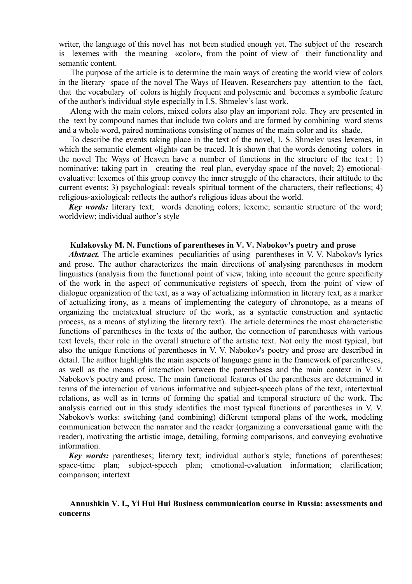writer, the language of this novel has not been studied enough yet. The subject of the research is lexemes with the meaning «color», from the point of view of their functionality and semantic content.

 The purpose of the article is to determine the main ways of creating the world view of colors in the literary space of the novel The Ways of Heaven. Researchers pay attention to the fact, that the vocabulary of colors is highly frequent and polysemic and becomes a symbolic feature of the author's individual style especially in I.S. Shmelev's last work.

 Along with the main colors, mixed colors also play an important role. They are presented in the text by compound names that include two colors and are formed by combining word stems and a whole word, paired nominations consisting of names of the main color and its shade.

 To describe the events taking place in the text of the novel, I. S. Shmelev uses lexemes, in which the semantic element «light» can be traced. It is shown that the words denoting colors in the novel The Ways of Heaven have a number of functions in the structure of the text : 1) nominative: taking part in creating the real plan, everyday space of the novel; 2) emotionalevaluative: lexemes of this group convey the inner struggle of the characters, their attitude to the current events; 3) psychological: reveals spiritual torment of the characters, their reflections; 4) religious-axiological: reflects the author's religious ideas about the world.

*Key words:* literary text; words denoting colors; lexeme; semantic structure of the word; worldview; individual author's style

#### **Kulakovsky M. N. Functions of parentheses in V. V. Nabokov's poetry and prose**

*Abstract.* The article examines peculiarities of using parentheses in V. V. Nabokov's lyrics and prose. The author characterizes the main directions of analysing parentheses in modern linguistics (analysis from the functional point of view, taking into account the genre specificity of the work in the aspect of communicative registers of speech, from the point of view of dialogue organization of the text, as a way of actualizing information in literary text, as a marker of actualizing irony, as a means of implementing the category of chronotope, as a means of organizing the metatextual structure of the work, as a syntactic construction and syntactic process, as a means of stylizing the literary text). The article determines the most characteristic functions of parentheses in the texts of the author, the connection of parentheses with various text levels, their role in the overall structure of the artistic text. Not only the most typical, but also the unique functions of parentheses in V. V. Nabokov's poetry and prose are described in detail. The author highlights the main aspects of language game in the framework of parentheses, as well as the means of interaction between the parentheses and the main context in V. V. Nabokov's poetry and prose. The main functional features of the parentheses are determined in terms of the interaction of various informative and subject-speech plans of the text, intertextual relations, as well as in terms of forming the spatial and temporal structure of the work. The analysis carried out in this study identifies the most typical functions of parentheses in V. V. Nabokov's works: switching (and combining) different temporal plans of the work, modeling communication between the narrator and the reader (organizing a conversational game with the reader), motivating the artistic image, detailing, forming comparisons, and conveying evaluative information.

*Key words:* parentheses; literary text; individual author's style; functions of parentheses; space-time plan; subject-speech plan; emotional-evaluation information; clarification; comparison; intertext

## **Annushkin V. I., Yi Hui Hui Business communication course in Russia: assessments and concerns**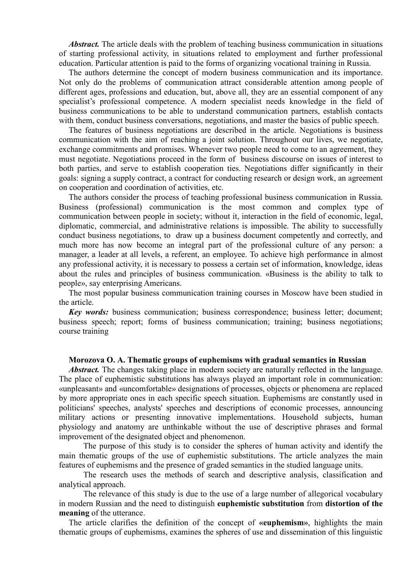*Abstract.* The article deals with the problem of teaching business communication in situations of starting professional activity, in situations related to employment and further professional education. Particular attention is paid to the forms of organizing vocational training in Russia.

The authors determine the concept of modern business communication and its importance. Not only do the problems of communication attract considerable attention among people of different ages, professions and education, but, above all, they are an essential component of any specialist's professional competence. A modern specialist needs knowledge in the field of business communications to be able to understand communication partners, establish contacts with them, conduct business conversations, negotiations, and master the basics of public speech.

The features of business negotiations are described in the article. Negotiations is business communication with the aim of reaching a joint solution. Throughout our lives, we negotiate, exchange commitments and promises. Whenever two people need to come to an agreement, they must negotiate. Negotiations proceed in the form of business discourse on issues of interest to both parties, and serve to establish cooperation ties. Negotiations differ significantly in their goals: signing a supply contract, a contract for conducting research or design work, an agreement on cooperation and coordination of activities, etc.

The authors consider the process of teaching professional business communication in Russia. Business (professional) communication is the most common and complex type of communication between people in society; without it, interaction in the field of economic, legal, diplomatic, commercial, and administrative relations is impossible. The ability to successfully conduct business negotiations, to draw up a business document competently and correctly, and much more has now become an integral part of the professional culture of any person: a manager, a leader at all levels, a referent, an employee. To achieve high performance in almost any professional activity, it is necessary to possess a certain set of information, knowledge, ideas about the rules and principles of business communication. «Business is the ability to talk to people», say enterprising Americans.

The most popular business communication training courses in Moscow have been studied in the article.

*Key words:* business communication; business correspondence; business letter; document; business speech; report; forms of business communication; training; business negotiations; course training

## **Morozova O. A. Thematic groups of euphemisms with gradual semantics in Russian**

*Abstract.* The changes taking place in modern society are naturally reflected in the language. The place of euphemistic substitutions has always played an important role in communication: «unpleasant» and «uncomfortable» designations of processes, objects or phenomena are replaced by more appropriate ones in each specific speech situation. Euphemisms are constantly used in politicians' speeches, analysts' speeches and descriptions of economic processes, announcing military actions or presenting innovative implementations. Household subjects, human physiology and anatomy are unthinkable without the use of descriptive phrases and formal improvement of the designated object and phenomenon.

The purpose of this study is to consider the spheres of human activity and identify the main thematic groups of the use of euphemistic substitutions. The article analyzes the main features of euphemisms and the presence of graded semantics in the studied language units.

The research uses the methods of search and descriptive analysis, classification and analytical approach.

The relevance of this study is due to the use of a large number of allegorical vocabulary in modern Russian and the need to distinguish **euphemistic substitution** from **distortion of the meaning** of the utterance.

The article clarifies the definition of the concept of **«euphemism»**, highlights the main thematic groups of euphemisms, examines the spheres of use and dissemination of this linguistic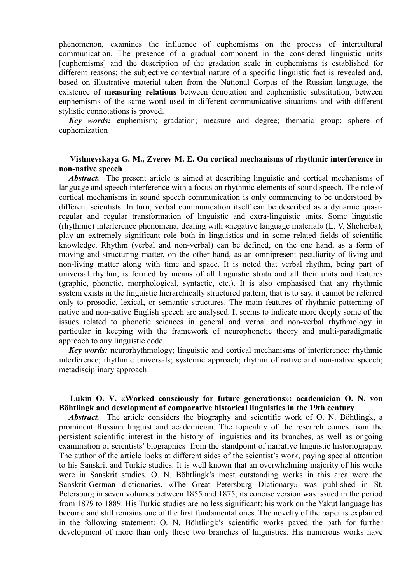phenomenon, examines the influence of euphemisms on the process of intercultural communication. The presence of a gradual component in the considered linguistic units [euphemisms] and the description of the gradation scale in euphemisms is established for different reasons; the subjective contextual nature of a specific linguistic fact is revealed and, based on illustrative material taken from the National Corpus of the Russian language, the existence of **measuring relations** between denotation and euphemistic substitution, between euphemisms of the same word used in different communicative situations and with different stylistic connotations is proved.

*Key words:* euphemism; gradation; measure and degree; thematic group; sphere of euphemization

# **Vishnevskaya G. M., Zverev M. E. On cortical mechanisms of rhythmic interference in non-native speech**

Abstract. The present article is aimed at describing linguistic and cortical mechanisms of language and speech interference with a focus on rhythmic elements of sound speech. The role of cortical mechanisms in sound speech communication is only commencing to be understood by different scientists. In turn, verbal communication itself can be described as a dynamic quasiregular and regular transformation of linguistic and extra-linguistic units. Some linguistic (rhythmic) interference phenomena, dealing with «negative language material» (L. V. Shcherba), play an extremely significant role both in linguistics and in some related fields of scientific knowledge. Rhythm (verbal and non-verbal) can be defined, on the one hand, as a form of moving and structuring matter, on the other hand, as an omnipresent peculiarity of living and non-living matter along with time and space. It is noted that verbal rhythm, being part of universal rhythm, is formed by means of all linguistic strata and all their units and features (graphic, phonetic, morphological, syntactic, etc.). It is also emphasised that any rhythmic system exists in the linguistic hierarchically structured pattern, that is to say, it cannot be referred only to prosodic, lexical, or semantic structures. The main features of rhythmic patterning of native and non-native English speech are analysed. It seems to indicate more deeply some of the issues related to phonetic sciences in general and verbal and non-verbal rhythmology in particular in keeping with the framework of neurophonetic theory and multi-paradigmatic approach to any linguistic code.

*Key words:* neurorhythmology; linguistic and cortical mechanisms of interference; rhythmic interference; rhythmic universals; systemic approach; rhythm of native and non-native speech; metadisciplinary approach

# **Lukin O. V. «Worked consciously for future generations»: academician O. N. von Böhtlingk and development of comparative historical linguistics in the 19th century**

*Abstract.* The article considers the biography and scientific work of O. N. Böhtlingk, a prominent Russian linguist and academician. The topicality of the research comes from the persistent scientific interest in the history of linguistics and its branches, as well as ongoing examination of scientists' biographies from the standpoint of narrative linguistic historiography. The author of the article looks at different sides of the scientist's work, paying special attention to his Sanskrit and Turkic studies. It is well known that an overwhelming majority of his works were in Sanskrit studies. O. N. Böhtlingk's most outstanding works in this area were the Sanskrit-German dictionaries. «The Great Petersburg Dictionary» was published in St. Petersburg in seven volumes between 1855 and 1875, its concise version was issued in the period from 1879 to 1889. His Turkic studies are no less significant: his work on the Yakut language has become and still remains one of the first fundamental ones. The novelty of the paper is explained in the following statement: O. N. Böhtlingk's scientific works paved the path for further development of more than only these two branches of linguistics. His numerous works have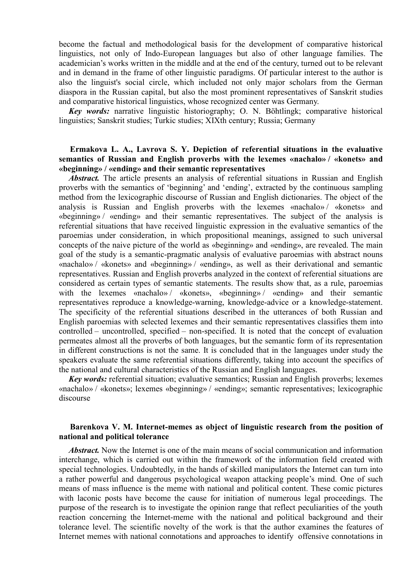become the factual and methodological basis for the development of comparative historical linguistics, not only of Indo-European languages but also of other language families. The academician's works written in the middle and at the end of the century, turned out to be relevant and in demand in the frame of other linguistic paradigms. Of particular interest to the author is also the linguist's social circle, which included not only major scholars from the German diaspora in the Russian capital, but also the most prominent representatives of Sanskrit studies and comparative historical linguistics, whose recognized center was Germany.

*Key words:* narrative linguistic historiography; O. N. Böhtlingk; comparative historical linguistics; Sanskrit studies; Turkic studies; XIXth century; Russia; Germany

# **Ermakova L. A., Lavrova S. Y. Depiction of referential situations in the evaluative semantics of Russian and English proverbs with the lexemes «nachalo» / «konets» and «beginning» / «ending» and their semantic representatives**

Abstract. The article presents an analysis of referential situations in Russian and English proverbs with the semantics of 'beginning' and 'ending', extracted by the continuous sampling method from the lexicographic discourse of Russian and English dictionaries. The object of the analysis is Russian and English proverbs with the lexemes «nachalo» / «konets» and «beginning» / «ending» and their semantic representatives. The subject of the analysis is referential situations that have received linguistic expression in the evaluative semantics of the paroemias under consideration, in which propositional meanings, assigned to such universal concepts of the naive picture of the world as «beginning» and «ending», are revealed. The main goal of the study is a semantic-pragmatic analysis of evaluative paroemias with abstract nouns «nachalo» / «konets» and «beginning» / «ending», as well as their derivational and semantic representatives. Russian and English proverbs analyzed in the context of referential situations are considered as certain types of semantic statements. The results show that, as a rule, paroemias with the lexemes «nachalo» / «konets», «beginning» / «ending» and their semantic representatives reproduce a knowledge-warning, knowledge-advice or a knowledge-statement. The specificity of the referential situations described in the utterances of both Russian and English paroemias with selected lexemes and their semantic representatives classifies them into controlled – uncontrolled, specified – non-specified. It is noted that the concept of evaluation permeates almost all the proverbs of both languages, but the semantic form of its representation in different constructions is not the same. It is concluded that in the languages under study the speakers evaluate the same referential situations differently, taking into account the specifics of the national and cultural characteristics of the Russian and English languages.

*Key words:* referential situation; evaluative semantics; Russian and English proverbs; lexemes «nachalo» / «konets»; lexemes «beginning» / «ending»; semantic representatives; lexicographic discourse

## **Barenkova V. M. Internet-memes as object of linguistic research from the position of national and political tolerance**

*Abstract.* Now the Internet is one of the main means of social communication and information interchange, which is carried out within the framework of the information field created with special technologies. Undoubtedly, in the hands of skilled manipulators the Internet can turn into a rather powerful and dangerous psychological weapon attacking people's mind. One of such means of mass influence is the meme with national and political content. These comic pictures with laconic posts have become the cause for initiation of numerous legal proceedings. The purpose of the research is to investigate the opinion range that reflect peculiarities of the youth reaction concerning the Internet-meme with the national and political background and their tolerance level. The scientific novelty of the work is that the author examines the features of Internet memes with national connotations and approaches to identify offensive connotations in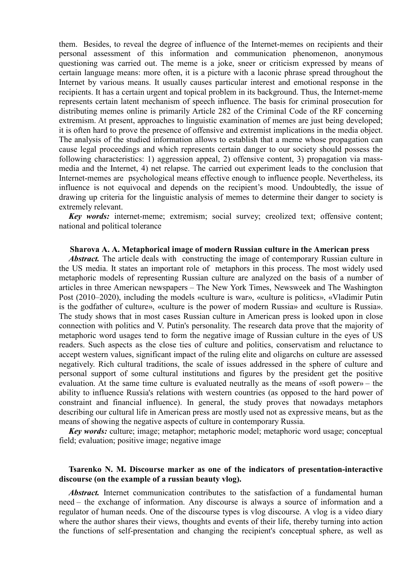them. Besides, to reveal the degree of influence of the Internet-memes on recipients and their personal assessment of this information and communication phenomenon, anonymous questioning was carried out. The meme is a joke, sneer or criticism expressed by means of certain language means: more often, it is a picture with a laconic phrase spread throughout the Internet by various means. It usually causes particular interest and emotional response in the recipients. It has a certain urgent and topical problem in its background. Thus, the Internet-meme represents certain latent mechanism of speech influence. The basis for criminal prosecution for distributing memes online is primarily Article 282 of the Criminal Code of the RF concerning extremism. At present, approaches to linguistic examination of memes are just being developed; it is often hard to prove the presence of offensive and extremist implications in the media object. The analysis of the studied information allows to establish that a meme whose propagation can cause legal proceedings and which represents certain danger to our society should possess the following characteristics: 1) aggression appeal, 2) offensive content, 3) propagation via massmedia and the Internet, 4) net relapse. The carried out experiment leads to the conclusion that Internet-memes are psychological means effective enough to influence people. Nevertheless, its influence is not equivocal and depends on the recipient's mood. Undoubtedly, the issue of drawing up criteria for the linguistic analysis of memes to determine their danger to society is extremely relevant.

*Key words:* internet-meme; extremism; social survey; creolized text; offensive content; national and political tolerance

#### **Sharova A. A. Metaphorical image of modern Russian culture in the American press**

*Abstract.* The article deals with constructing the image of contemporary Russian culture in the US media. It states an important role of metaphors in this process. The most widely used metaphoric models of representing Russian culture are analyzed on the basis of a number of articles in three American newspapers – The New York Times, Newsweek and The Washington Post (2010–2020), including the models «culture is war», «culture is politics», «Vladimir Putin is the godfather of culture», «culture is the power of modern Russia» and «culture is Russia». The study shows that in most cases Russian culture in American press is looked upon in close connection with politics and V. Putin's personality. The research data prove that the majority of metaphoric word usages tend to form the negative image of Russian culture in the eyes of US readers. Such aspects as the close ties of culture and politics, conservatism and reluctance to accept western values, significant impact of the ruling elite and oligarchs on culture are assessed negatively. Rich cultural traditions, the scale of issues addressed in the sphere of culture and personal support of some cultural institutions and figures by the president get the positive evaluation. At the same time culture is evaluated neutrally as the means of «soft power» – the ability to influence Russia's relations with western countries (as opposed to the hard power of constraint and financial influence). In general, the study proves that nowadays metaphors describing our cultural life in American press are mostly used not as expressive means, but as the means of showing the negative aspects of culture in contemporary Russia.

*Key words:* culture; image; metaphor; metaphoric model; metaphoric word usage; conceptual field; evaluation; positive image; negative image

## **Tsarenko N. M. Discourse marker as one of the indicators of presentation-interactive discourse (on the example of a russian beauty vlog).**

*Abstract.* Internet communication contributes to the satisfaction of a fundamental human need – the exchange of information. Any discourse is always a source of information and a regulator of human needs. One of the discourse types is vlog discourse. A vlog is a video diary where the author shares their views, thoughts and events of their life, thereby turning into action the functions of self-presentation and changing the recipient's conceptual sphere, as well as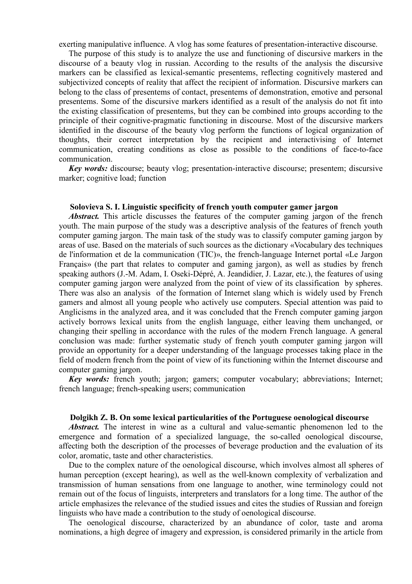exerting manipulative influence. A vlog has some features of presentation-interactive discourse.

The purpose of this study is to analyze the use and functioning of discursive markers in the discourse of a beauty vlog in russian. According to the results of the analysis the discursive markers can be classified as lexical-semantic presentems, reflecting cognitively mastered and subjectivized concepts of reality that affect the recipient of information. Discursive markers can belong to the class of presentems of contact, presentems of demonstration, emotive and personal presentems. Some of the discursive markers identified as a result of the analysis do not fit into the existing classification of presentems, but they can be combined into groups according to the principle of their cognitive-pragmatic functioning in discourse. Most of the discursive markers identified in the discourse of the beauty vlog perform the functions of logical organization of thoughts, their correct interpretation by the recipient and interactivising of Internet communication, creating conditions as close as possible to the conditions of face-to-face communication.

*Key words:* discourse; beauty vlog; presentation-interactive discourse; presentem; discursive marker; cognitive load; function

#### **Solovieva S. I. Linguistic specificity of french youth computer gamer jargon**

*Abstract.* This article discusses the features of the computer gaming jargon of the french youth. The main purpose of the study was a descriptive analysis of the features of french youth computer gaming jargon. The main task of the study was to classify computer gaming jargon by areas of use. Based on the materials of such sources as the dictionary «Vocabulary des techniques de l'information et de la communication (TIC)», the french-language Internet portal «Le Jargon Français» (the part that relates to computer and gaming jargon), as well as studies by french speaking authors (J.-M. Adam, I. Oseki-Dépré, A. Jeandidier, J. Lazar, etc.), the features of using computer gaming jargon were analyzed from the point of view of its classification by spheres. There was also an analysis of the formation of Internet slang which is widely used by French gamers and almost all young people who actively use computers. Special attention was paid to Anglicisms in the analyzed area, and it was concluded that the French computer gaming jargon actively borrows lexical units from the english language, either leaving them unchanged, or changing their spelling in accordance with the rules of the modern French language. A general conclusion was made: further systematic study of french youth computer gaming jargon will provide an opportunity for a deeper understanding of the language processes taking place in the field of modern french from the point of view of its functioning within the Internet discourse and computer gaming jargon.

*Key words:* french youth; jargon; gamers; computer vocabulary; abbreviations; Internet; french language; french-speaking users; communication

### **Dolgikh Z. B. On some lexical particularities of the Portuguese oenological discourse**

*Abstract.* The interest in wine as a cultural and value-semantic phenomenon led to the emergence and formation of a specialized language, the so-called oenological discourse, affecting both the description of the processes of beverage production and the evaluation of its color, aromatic, taste and other characteristics.

Due to the complex nature of the oenological discourse, which involves almost all spheres of human perception (except hearing), as well as the well-known complexity of verbalization and transmission of human sensations from one language to another, wine terminology could not remain out of the focus of linguists, interpreters and translators for a long time. The author of the article emphasizes the relevance of the studied issues and cites the studies of Russian and foreign linguists who have made a contribution to the study of oenological discourse.

The oenological discourse, characterized by an abundance of color, taste and aroma nominations, a high degree of imagery and expression, is considered primarily in the article from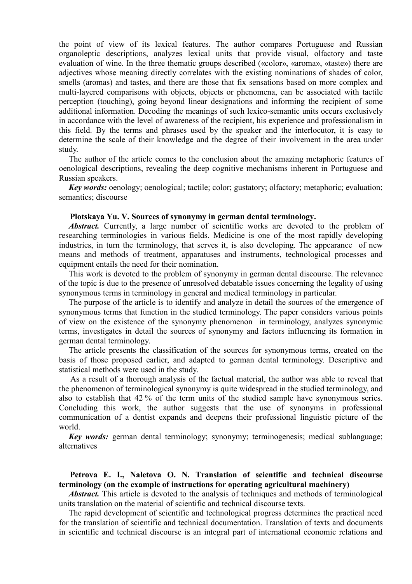the point of view of its lexical features. The author compares Portuguese and Russian organoleptic descriptions, analyzes lexical units that provide visual, olfactory and taste evaluation of wine. In the three thematic groups described («color», «aroma», «taste») there are adjectives whose meaning directly correlates with the existing nominations of shades of color, smells (aromas) and tastes, and there are those that fix sensations based on more complex and multi-layered comparisons with objects, objects or phenomena, can be associated with tactile perception (touching), going beyond linear designations and informing the recipient of some additional information. Decoding the meanings of such lexico-semantic units occurs exclusively in accordance with the level of awareness of the recipient, his experience and professionalism in this field. By the terms and phrases used by the speaker and the interlocutor, it is easy to determine the scale of their knowledge and the degree of their involvement in the area under study.

The author of the article comes to the conclusion about the amazing metaphoric features of oenological descriptions, revealing the deep cognitive mechanisms inherent in Portuguese and Russian speakers.

*Key words:* oenology; oenological; tactile; color; gustatory; olfactory; metaphoric; evaluation; semantics; discourse

## **Plotskaya Yu. V. Sources of synonymy in german dental terminology.**

Abstract. Currently, a large number of scientific works are devoted to the problem of researching terminologies in various fields. Medicine is one of the most rapidly developing industries, in turn the terminology, that serves it, is also developing. The appearance of new means and methods of treatment, apparatuses and instruments, technological processes and equipment entails the need for their nomination.

This work is devoted to the problem of synonymy in german dental discourse. The relevance of the topic is due to the presence of unresolved debatable issues concerning the legality of using synonymous terms in terminology in general and medical terminology in particular.

The purpose of the article is to identify and analyze in detail the sources of the emergence of synonymous terms that function in the studied terminology. The paper considers various points of view on the existence of the synonymy phenomenon in terminology, analyzes synonymic terms, investigates in detail the sources of synonymy and factors influencing its formation in german dental terminology.

The article presents the classification of the sources for synonymous terms, created on the basis of those proposed earlier, and adapted to german dental terminology. Descriptive and statistical methods were used in the study.

 As a result of a thorough analysis of the factual material, the author was able to reveal that the phenomenon of terminological synonymy is quite widespread in the studied terminology, and also to establish that 42 % of the term units of the studied sample have synonymous series. Concluding this work, the author suggests that the use of synonyms in professional communication of a dentist expands and deepens their professional linguistic picture of the world.

*Key words:* german dental terminology; synonymy; terminogenesis; medical sublanguage; alternatives

## **Petrova E. I., Naletova O. N. Translation of scientific and technical discourse terminology (on the example of instructions for operating agricultural machinery)**

*Abstract.* This article is devoted to the analysis of techniques and methods of terminological units translation on the material of scientific and technical discourse texts.

The rapid development of scientific and technological progress determines the practical need for the translation of scientific and technical documentation. Translation of texts and documents in scientific and technical discourse is an integral part of international economic relations and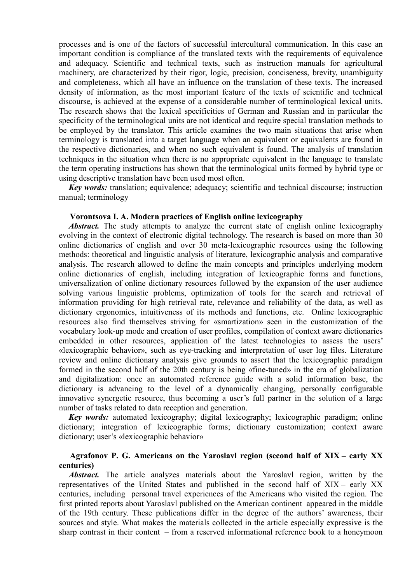processes and is one of the factors of successful intercultural communication. In this case an important condition is compliance of the translated texts with the requirements of equivalence and adequacy. Scientific and technical texts, such as instruction manuals for agricultural machinery, are characterized by their rigor, logic, precision, conciseness, brevity, unambiguity and completeness, which all have an influence on the translation of these texts. The increased density of information, as the most important feature of the texts of scientific and technical discourse, is achieved at the expense of a considerable number of terminological lexical units. The research shows that the lexical specificities of German and Russian and in particular the specificity of the terminological units are not identical and require special translation methods to be employed by the translator. This article examines the two main situations that arise when terminology is translated into a target language when an equivalent or equivalents are found in the respective dictionaries, and when no such equivalent is found. The analysis of translation techniques in the situation when there is no appropriate equivalent in the language to translate the term operating instructions has shown that the terminological units formed by hybrid type or using descriptive translation have been used most often.

*Key words:* translation; equivalence; adequacy; scientific and technical discourse; instruction manual; terminology

## **Vorontsova I. A. Modern practices of English online lexicography**

*Abstract.* The study attempts to analyze the current state of english online lexicography evolving in the context of electronic digital technology. The research is based on more than 30 online dictionaries of english and over 30 meta-lexicographic resources using the following methods: theoretical and linguistic analysis of literature, lexicographic analysis and comparative analysis. The research allowed to define the main concepts and principles underlying modern online dictionaries of english, including integration of lexicographic forms and functions, universalization of online dictionary resources followed by the expansion of the user audience solving various linguistic problems, optimization of tools for the search and retrieval of information providing for high retrieval rate, relevance and reliability of the data, as well as dictionary ergonomics, intuitiveness of its methods and functions, etc. Online lexicographic resources also find themselves striving for «smartization» seen in the customization of the vocabulary look-up mode and creation of user profiles, compilation of context aware dictionaries embedded in other resources, application of the latest technologies to assess the users' «lexicographic behavior», such as eye-tracking and interpretation of user log files. Literature review and online dictionary analysis give grounds to assert that the lexicographic paradigm formed in the second half of the 20th century is being «fine-tuned» in the era of globalization and digitalization: once an automated reference guide with a solid information base, the dictionary is advancing to the level of a dynamically changing, personally configurable innovative synergetic resource, thus becoming a user's full partner in the solution of a large number of tasks related to data reception and generation.

*Key words:* automated lexicography; digital lexicography; lexicographic paradigm; online dictionary; integration of lexicographic forms; dictionary customization; context aware dictionary; user's «lexicographic behavior»

## **Agrafonov P. G. Americans on the Yaroslavl region (second half of XIX – early XX centuries)**

Abstract. The article analyzes materials about the Yaroslavl region, written by the representatives of the United States and published in the second half of XIX – early XX centuries, including personal travel experiences of the Americans who visited the region. The first printed reports about Yaroslavl published on the American continent appeared in the middle of the 19th century. These publications differ in the degree of the authors' awareness, their sources and style. What makes the materials collected in the article especially expressive is the sharp contrast in their content – from a reserved informational reference book to a honeymoon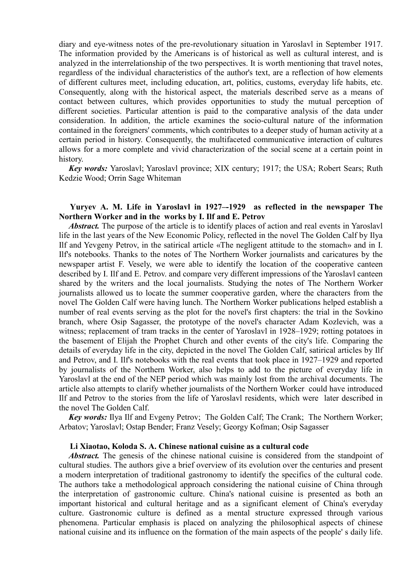diary and eye-witness notes of the pre-revolutionary situation in Yaroslavl in September 1917. The information provided by the Americans is of historical as well as cultural interest, and is analyzed in the interrelationship of the two perspectives. It is worth mentioning that travel notes, regardless of the individual characteristics of the author's text, are a reflection of how elements of different cultures meet, including education, art, politics, customs, everyday life habits, etc. Consequently, along with the historical aspect, the materials described serve as a means of contact between cultures, which provides opportunities to study the mutual perception of different societies. Particular attention is paid to the comparative analysis of the data under consideration. In addition, the article examines the socio-cultural nature of the information contained in the foreigners' comments, which contributes to a deeper study of human activity at a certain period in history. Consequently, the multifaceted communicative interaction of cultures allows for a more complete and vivid characterization of the social scene at a certain point in history.

*Key words:* Yaroslavl; Yaroslavl province; XIX century; 1917; the USA; Robert Sears; Ruth Kedzie Wood; Orrin Sage Whiteman

# **Yuryev A. M. Life in Yaroslavl in 1927–-1929 as reflected in the newspaper The Northern Worker and in the works by I. Ilf and E. Petrov**

*Abstract.* The purpose of the article is to identify places of action and real events in Yaroslavl life in the last years of the New Economic Policy, reflected in the novel The Golden Calf by Ilya Ilf and Yevgeny Petrov, in the satirical article «The negligent attitude to the stomach» and in I. Ilf's notebooks. Thanks to the notes of The Northern Worker journalists and caricatures by the newspaper artist F. Vesely, we were able to identify the location of the cooperative canteen described by I. Ilf and E. Petrov. and compare very different impressions of the Yaroslavl canteen shared by the writers and the local journalists. Studying the notes of The Northern Worker journalists allowed us to locate the summer cooperative garden, where the characters from the novel The Golden Calf were having lunch. The Northern Worker publications helped establish a number of real events serving as the plot for the novel's first chapters: the trial in the Sovkino branch, where Osip Sagasser, the prototype of the novel's character Adam Kozlevich, was a witness; replacement of tram tracks in the center of Yaroslavl in 1928–1929; rotting potatoes in the basement of Elijah the Prophet Church and other events of the city's life. Comparing the details of everyday life in the city, depicted in the novel The Golden Calf, satirical articles by Ilf and Petrov, and I. Ilf's notebooks with the real events that took place in 1927–1929 and reported by journalists of the Northern Worker, also helps to add to the picture of everyday life in Yaroslavl at the end of the NEP period which was mainly lost from the archival documents. The article also attempts to clarify whether journalists of the Northern Worker could have introduced Ilf and Petrov to the stories from the life of Yaroslavl residents, which were later described in the novel The Golden Calf.

*Key words:* Ilya Ilf and Evgeny Petrov; The Golden Calf; The Crank; The Northern Worker; Arbatov; Yaroslavl; Ostap Bender; Franz Vesely; Georgy Kofman; Osip Sagasser

### **Li Xiaotao, Koloda S. A. Chinese national cuisine as a cultural code**

Abstract. The genesis of the chinese national cuisine is considered from the standpoint of cultural studies. The authors give a brief overview of its evolution over the centuries and present a modern interpretation of traditional gastronomy to identify the specifics of the cultural code. The authors take a methodological approach considering the national cuisine of China through the interpretation of gastronomic culture. China's national cuisine is presented as both an important historical and cultural heritage and as a significant element of China's everyday culture. Gastronomic culture is defined as a mental structure expressed through various phenomena. Particular emphasis is placed on analyzing the philosophical aspects of chinese national cuisine and its influence on the formation of the main aspects of the people' s daily life.